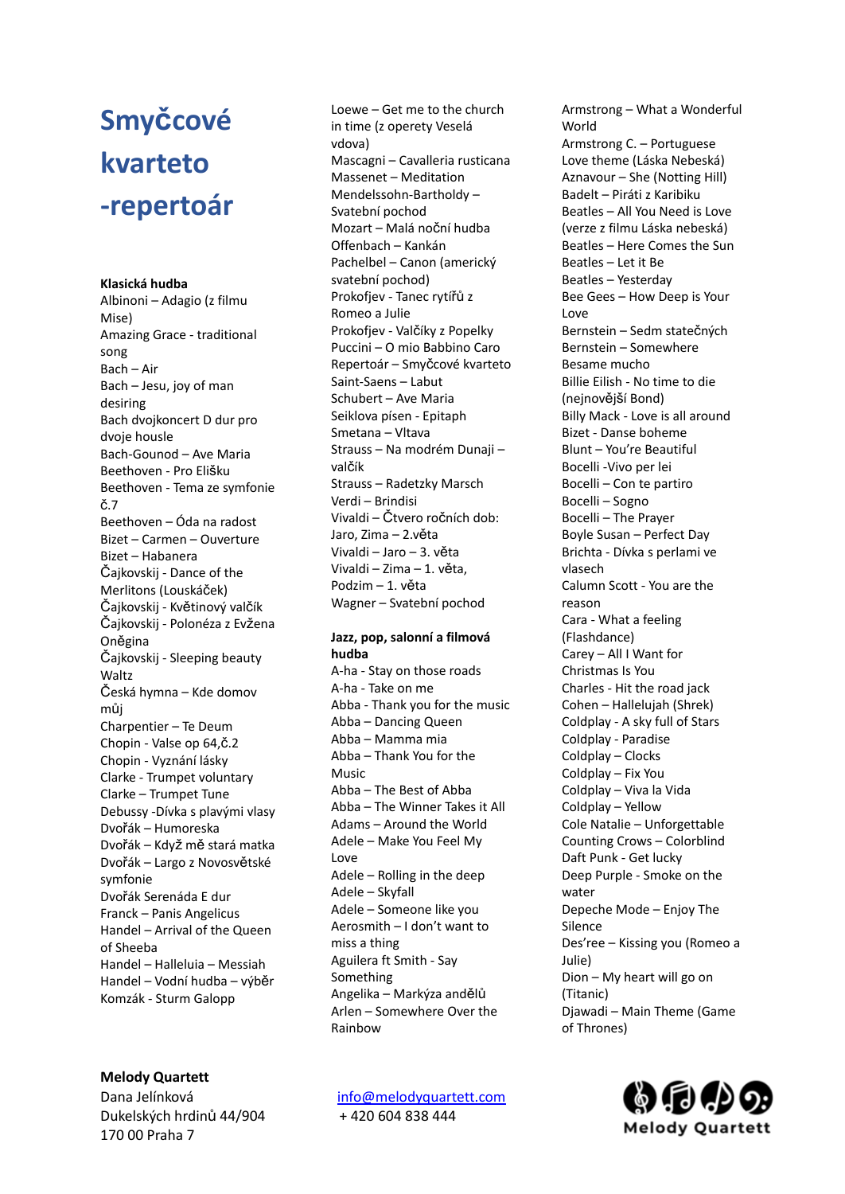# **Smyčcové kvarteto -repertoár**

### **Klasická hudba**

Albinoni – Adagio (z filmu Mise) Amazing Grace - traditional song Bach – Air Bach – Jesu, joy of man desiring Bach dvojkoncert D dur pro dvoje housle Bach-Gounod – Ave Maria Beethoven - Pro Elišku Beethoven - Tema ze symfonie č.7 Beethoven – Óda na radost Bizet – Carmen – Ouverture Bizet – Habanera Čajkovskij - Dance of the Merlitons (Louskáček) Čajkovskij - Květinový valčík Čajkovskij - Polonéza z Evžena Oněgina Čajkovskij - Sleeping beauty Waltz Česká hymna – Kde domov můj Charpentier – Te Deum Chopin - Valse op 64,č.2 Chopin - Vyznání lásky Clarke - Trumpet voluntary Clarke – Trumpet Tune Debussy -Dívka s plavými vlasy Dvořák – Humoreska Dvořák – Když mě stará matka Dvořák – Largo z Novosvětské symfonie Dvořák Serenáda E dur Franck – Panis Angelicus Handel – Arrival of the Queen of Sheeba Handel – Halleluia – Messiah Handel – Vodní hudba – výběr Komzák - Sturm Galopp

Loewe – Get me to the church in time (z operety Veselá vdova) Mascagni – Cavalleria rusticana Massenet – Meditation Mendelssohn-Bartholdy – Svatební pochod Mozart – Malá noční hudba Offenbach – Kankán Pachelbel – Canon (americký svatební pochod) Prokofjev - Tanec rytířů z Romeo a Julie Prokofjev - Valčíky z Popelky Puccini – O mio Babbino Caro Repertoár – Smyčcové kvarteto Saint-Saens – Labut Schubert – Ave Maria Seiklova písen - Epitaph Smetana – Vltava Strauss – Na modrém Dunaji – valčík Strauss – Radetzky Marsch Verdi – Brindisi Vivaldi – Čtvero ročních dob: Jaro, Zima – 2.věta Vivaldi – Jaro – 3. věta Vivaldi – Zima – 1. věta, Podzim – 1. věta Wagner – Svatební pochod

### **Jazz, pop, salonní a filmová hudba**

A-ha - Stay on those roads A-ha - Take on me Abba - Thank you for the music Abba – Dancing Queen Abba – Mamma mia Abba – Thank You for the Music Abba – The Best of Abba Abba – The Winner Takes it All Adams – Around the World Adele – Make You Feel My Love Adele – Rolling in the deep Adele – Skyfall Adele – Someone like you Aerosmith – I don't want to miss a thing Aguilera ft Smith - Say Something Angelika – Markýza andělů Arlen – Somewhere Over the Rainbow

Armstrong – What a Wonderful **World** Armstrong C. – Portuguese Love theme (Láska Nebeská) Aznavour – She (Notting Hill) Badelt – Piráti z Karibiku Beatles – All You Need is Love (verze z filmu Láska nebeská) Beatles – Here Comes the Sun Beatles – Let it Be Beatles – Yesterday Bee Gees – How Deep is Your Love Bernstein – Sedm statečných Bernstein – Somewhere Besame mucho Billie Eilish - No time to die (nejnovější Bond) Billy Mack - Love is all around Bizet - Danse boheme Blunt – You're Beautiful Bocelli -Vivo per lei Bocelli – Con te partiro Bocelli – Sogno Bocelli – The Prayer Boyle Susan – Perfect Day Brichta - Dívka s perlami ve vlasech Calumn Scott - You are the reason Cara - What a feeling (Flashdance) Carey – All I Want for Christmas Is You Charles - Hit the road jack Cohen – Hallelujah (Shrek) Coldplay - A sky full of Stars Coldplay - Paradise Coldplay – Clocks Coldplay – Fix You Coldplay – Viva la Vida Coldplay – Yellow Cole Natalie – Unforgettable Counting Crows – Colorblind Daft Punk - Get lucky Deep Purple - Smoke on the water Depeche Mode – Enjoy The Silence Des'ree – Kissing you (Romeo a Julie) Dion – My heart will go on (Titanic) Djawadi – Main Theme (Game of Thrones)

## **Melody Quartett**

Dana Jelínková [info@melodyquartett.com](mailto:info@melodyquartett.com) Dukelských hrdinů 44/904 + 420 604 838 444 170 00 Praha 7

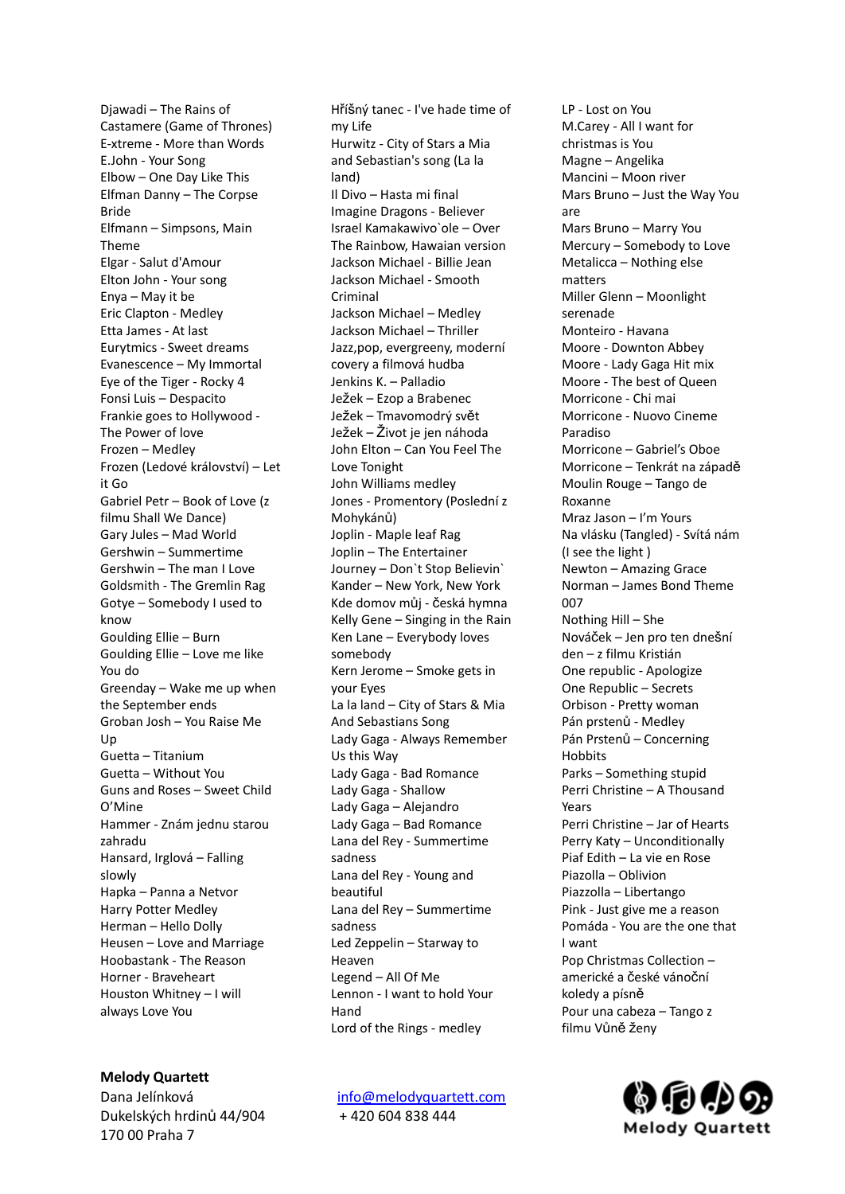Djawadi – The Rains of Castamere (Game of Thrones) E-xtreme - More than Words E.John - Your Song Elbow – One Day Like This Elfman Danny – The Corpse Bride Elfmann – Simpsons, Main Theme Elgar - Salut d'Amour Elton John - Your song Enya – May it be Eric Clapton - Medley Etta James - At last Eurytmics - Sweet dreams Evanescence – My Immortal Eye of the Tiger - Rocky 4 Fonsi Luis – Despacito Frankie goes to Hollywood - The Power of love Frozen – Medley Frozen (Ledové království) – Let it Go Gabriel Petr – Book of Love (z filmu Shall We Dance) Gary Jules – Mad World Gershwin – Summertime Gershwin – The man I Love Goldsmith - The Gremlin Rag Gotye – Somebody I used to know Goulding Ellie – Burn Goulding Ellie – Love me like You do Greenday – Wake me up when the September ends Groban Josh – You Raise Me Up Guetta – Titanium Guetta – Without You Guns and Roses – Sweet Child O'Mine Hammer - Znám jednu starou zahradu Hansard, Irglová – Falling slowly Hapka – Panna a Netvor Harry Potter Medley Herman – Hello Dolly Heusen – Love and Marriage Hoobastank - The Reason Horner - Braveheart Houston Whitney – I will always Love You

Hříšný tanec - I've hade time of my Life Hurwitz - City of Stars a Mia and Sebastian's song (La la land) Il Divo – Hasta mi final Imagine Dragons - Believer Israel Kamakawivo`ole – Over The Rainbow, Hawaian version Jackson Michael - Billie Jean Jackson Michael - Smooth Criminal Jackson Michael – Medley Jackson Michael – Thriller Jazz,pop, evergreeny, moderní covery a filmová hudba Jenkins K. – Palladio Ježek – Ezop a Brabenec Ježek – Tmavomodrý svět Ježek – Život je jen náhoda John Elton – Can You Feel The Love Tonight John Williams medley Jones - Promentory (Poslední z Mohykánů) Joplin - Maple leaf Rag Joplin – The Entertainer Journey – Don`t Stop Believin` Kander – New York, New York Kde domov můj - česká hymna Kelly Gene – Singing in the Rain Ken Lane – Everybody loves somebody Kern Jerome – Smoke gets in your Eyes La la land – City of Stars & Mia And Sebastians Song Lady Gaga - Always Remember Us this Way Lady Gaga - Bad Romance Lady Gaga - Shallow Lady Gaga – Alejandro Lady Gaga – Bad Romance Lana del Rey - Summertime sadness Lana del Rey - Young and beautiful Lana del Rey – Summertime sadness Led Zeppelin – Starway to Heaven Legend – All Of Me Lennon - I want to hold Your Hand Lord of the Rings - medley

Dana Jelínková [info@melodyquartett.com](mailto:info@melodyquartett.com)

LP - Lost on You M.Carey - All I want for christmas is You Magne – Angelika Mancini – Moon river Mars Bruno – Just the Way You are Mars Bruno – Marry You Mercury – Somebody to Love Metalicca – Nothing else matters Miller Glenn – Moonlight serenade Monteiro - Havana Moore - Downton Abbey Moore - Lady Gaga Hit mix Moore - The best of Queen Morricone - Chi mai Morricone - Nuovo Cineme Paradiso Morricone – Gabriel's Oboe Morricone – Tenkrát na západě Moulin Rouge – Tango de Roxanne Mraz Jason – I'm Yours Na vlásku (Tangled) - Svítá nám (I see the light ) Newton – Amazing Grace Norman – James Bond Theme 007 Nothing Hill – She Nováček – Jen pro ten dnešní den – z filmu Kristián One republic - Apologize One Republic – Secrets Orbison - Pretty woman Pán prstenů - Medley Pán Prstenů – Concerning **Hobbits** Parks – Something stupid Perri Christine – A Thousand Years Perri Christine – Jar of Hearts Perry Katy – Unconditionally Piaf Edith – La vie en Rose Piazolla – Oblivion Piazzolla – Libertango Pink - Just give me a reason Pomáda - You are the one that I want Pop Christmas Collection – americké a české vánoční koledy a písně Pour una cabeza – Tango z filmu Vůně ženy



## **Melody Quartett**

Dukelských hrdinů 44/904 + 420 604 838 444 170 00 Praha 7